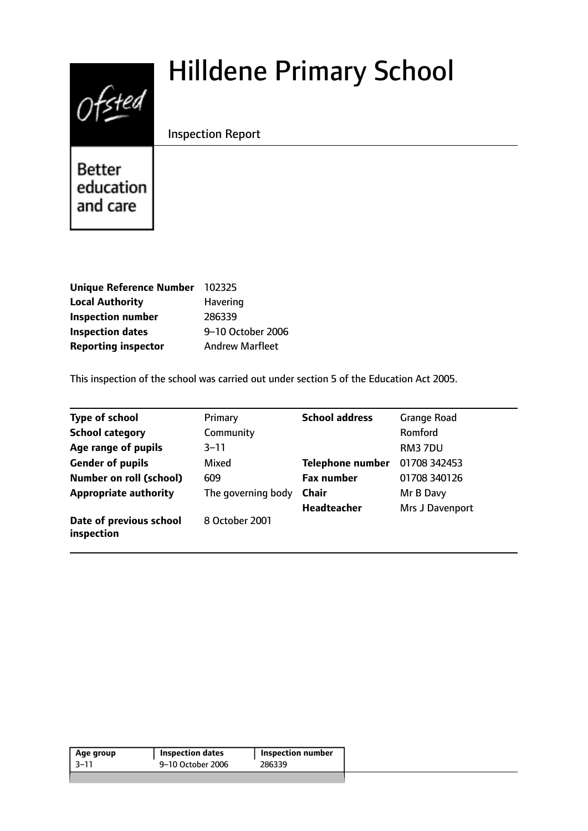# $0$ fsted

# Hilldene Primary School

Inspection Report

**Better** education and care

| <b>Unique Reference Number</b> | 102325                 |
|--------------------------------|------------------------|
| <b>Local Authority</b>         | <b>Havering</b>        |
| <b>Inspection number</b>       | 286339                 |
| <b>Inspection dates</b>        | 9-10 October 2006      |
| <b>Reporting inspector</b>     | <b>Andrew Marfleet</b> |

This inspection of the school was carried out under section 5 of the Education Act 2005.

| <b>Type of school</b>                 | Primary            | <b>School address</b>   | <b>Grange Road</b> |
|---------------------------------------|--------------------|-------------------------|--------------------|
| <b>School category</b>                | Community          |                         | Romford            |
| Age range of pupils                   | $3 - 11$           |                         | RM37DU             |
| <b>Gender of pupils</b>               | Mixed              | <b>Telephone number</b> | 01708 342453       |
| <b>Number on roll (school)</b>        | 609                | <b>Fax number</b>       | 01708 340126       |
| <b>Appropriate authority</b>          | The governing body | <b>Chair</b>            | Mr B Davy          |
|                                       |                    | <b>Headteacher</b>      | Mrs J Davenport    |
| Date of previous school<br>inspection | 8 October 2001     |                         |                    |

| Age group | <b>Inspection dates</b> | <b>Inspection number</b> |  |
|-----------|-------------------------|--------------------------|--|
| $-3 - 11$ | 9–10 October 2006       | 286339                   |  |
|           |                         |                          |  |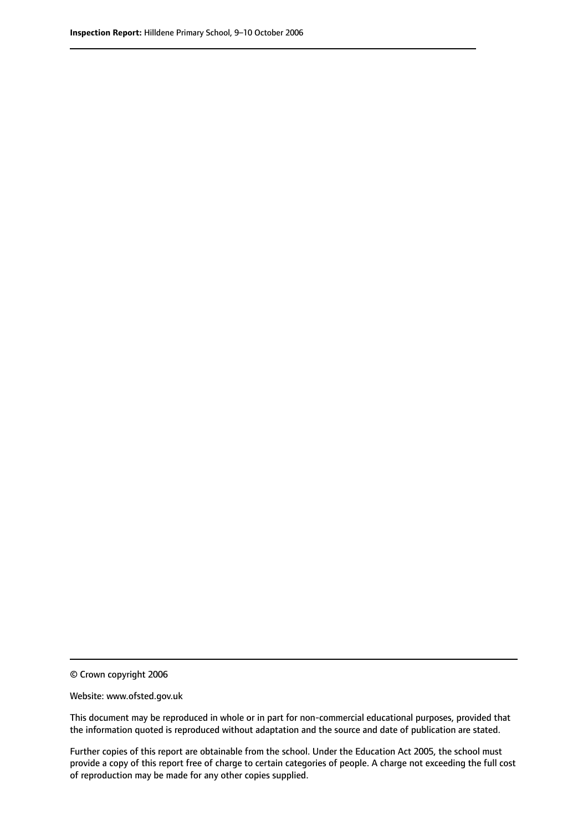© Crown copyright 2006

Website: www.ofsted.gov.uk

This document may be reproduced in whole or in part for non-commercial educational purposes, provided that the information quoted is reproduced without adaptation and the source and date of publication are stated.

Further copies of this report are obtainable from the school. Under the Education Act 2005, the school must provide a copy of this report free of charge to certain categories of people. A charge not exceeding the full cost of reproduction may be made for any other copies supplied.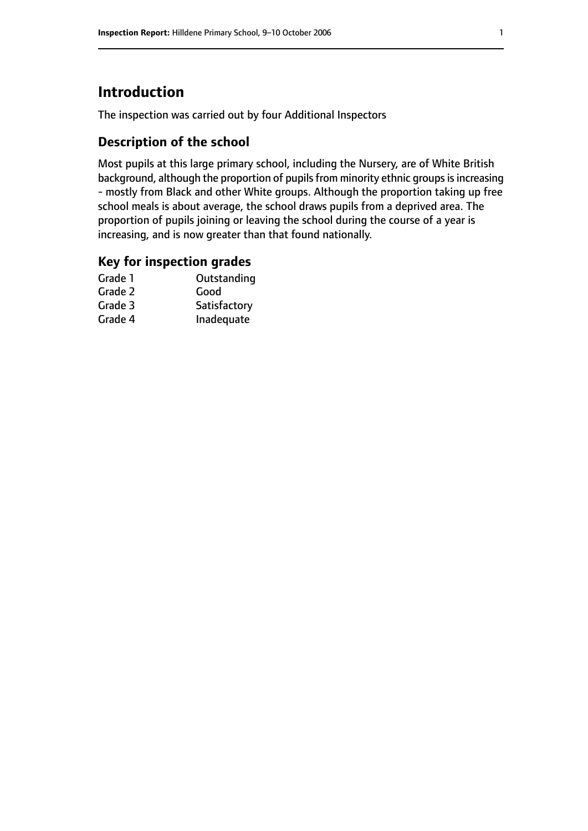# **Introduction**

The inspection was carried out by four Additional Inspectors

# **Description of the school**

Most pupils at this large primary school, including the Nursery, are of White British background, although the proportion of pupils from minority ethnic groups is increasing - mostly from Black and other White groups. Although the proportion taking up free school meals is about average, the school draws pupils from a deprived area. The proportion of pupils joining or leaving the school during the course of a year is increasing, and is now greater than that found nationally.

#### **Key for inspection grades**

| Outstanding  |
|--------------|
| Good         |
| Satisfactory |
| Inadequate   |
|              |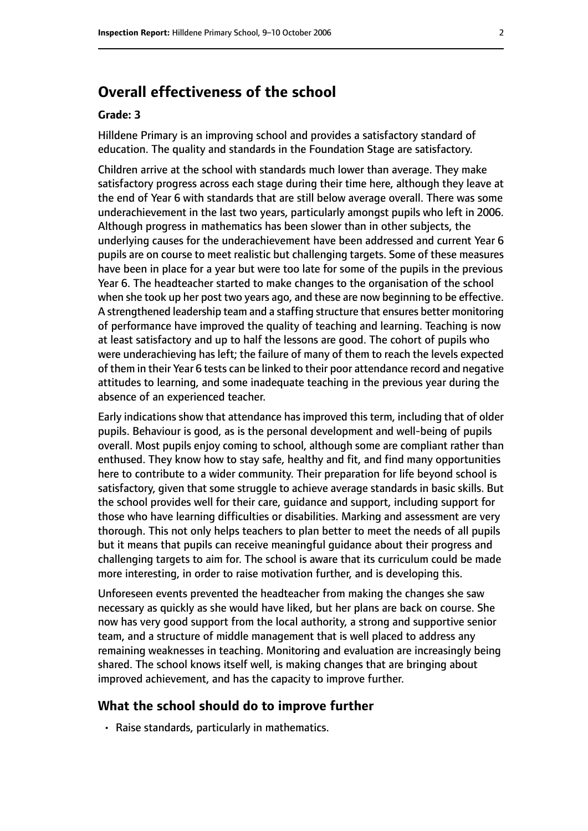# **Overall effectiveness of the school**

#### **Grade: 3**

Hilldene Primary is an improving school and provides a satisfactory standard of education. The quality and standards in the Foundation Stage are satisfactory.

Children arrive at the school with standards much lower than average. They make satisfactory progress across each stage during their time here, although they leave at the end of Year 6 with standards that are still below average overall. There was some underachievement in the last two years, particularly amongst pupils who left in 2006. Although progress in mathematics has been slower than in other subjects, the underlying causes for the underachievement have been addressed and current Year 6 pupils are on course to meet realistic but challenging targets. Some of these measures have been in place for a year but were too late for some of the pupils in the previous Year 6. The headteacher started to make changes to the organisation of the school when she took up her post two years ago, and these are now beginning to be effective. A strengthened leadership team and a staffing structure that ensures better monitoring of performance have improved the quality of teaching and learning. Teaching is now at least satisfactory and up to half the lessons are good. The cohort of pupils who were underachieving has left; the failure of many of them to reach the levels expected of them in their Year 6 tests can be linked to their poor attendance record and negative attitudes to learning, and some inadequate teaching in the previous year during the absence of an experienced teacher.

Early indications show that attendance has improved this term, including that of older pupils. Behaviour is good, as is the personal development and well-being of pupils overall. Most pupils enjoy coming to school, although some are compliant rather than enthused. They know how to stay safe, healthy and fit, and find many opportunities here to contribute to a wider community. Their preparation for life beyond school is satisfactory, given that some struggle to achieve average standards in basic skills. But the school provides well for their care, guidance and support, including support for those who have learning difficulties or disabilities. Marking and assessment are very thorough. This not only helps teachers to plan better to meet the needs of all pupils but it means that pupils can receive meaningful guidance about their progress and challenging targets to aim for. The school is aware that its curriculum could be made more interesting, in order to raise motivation further, and is developing this.

Unforeseen events prevented the headteacher from making the changes she saw necessary as quickly as she would have liked, but her plans are back on course. She now has very good support from the local authority, a strong and supportive senior team, and a structure of middle management that is well placed to address any remaining weaknesses in teaching. Monitoring and evaluation are increasingly being shared. The school knows itself well, is making changes that are bringing about improved achievement, and has the capacity to improve further.

#### **What the school should do to improve further**

• Raise standards, particularly in mathematics.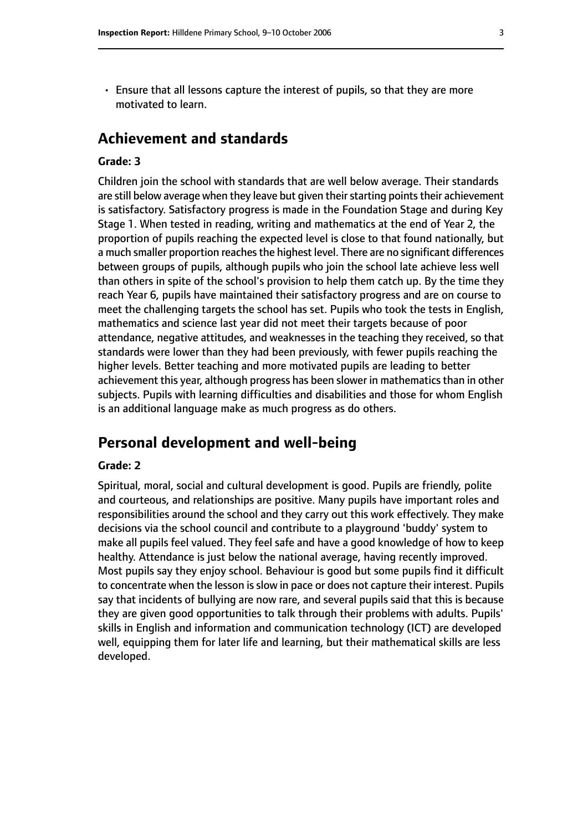- 
- Ensure that all lessons capture the interest of pupils, so that they are more motivated to learn.

# **Achievement and standards**

#### **Grade: 3**

Children join the school with standards that are well below average. Their standards are still below average when they leave but given their starting points their achievement is satisfactory. Satisfactory progress is made in the Foundation Stage and during Key Stage 1. When tested in reading, writing and mathematics at the end of Year 2, the proportion of pupils reaching the expected level is close to that found nationally, but a much smaller proportion reaches the highest level. There are no significant differences between groups of pupils, although pupils who join the school late achieve less well than others in spite of the school's provision to help them catch up. By the time they reach Year 6, pupils have maintained their satisfactory progress and are on course to meet the challenging targets the school has set. Pupils who took the tests in English, mathematics and science last year did not meet their targets because of poor attendance, negative attitudes, and weaknesses in the teaching they received, so that standards were lower than they had been previously, with fewer pupils reaching the higher levels. Better teaching and more motivated pupils are leading to better achievement this year, although progress has been slower in mathematics than in other subjects. Pupils with learning difficulties and disabilities and those for whom English is an additional language make as much progress as do others.

# **Personal development and well-being**

#### **Grade: 2**

Spiritual, moral, social and cultural development is good. Pupils are friendly, polite and courteous, and relationships are positive. Many pupils have important roles and responsibilities around the school and they carry out this work effectively. They make decisions via the school council and contribute to a playground 'buddy' system to make all pupils feel valued. They feel safe and have a good knowledge of how to keep healthy. Attendance is just below the national average, having recently improved. Most pupils say they enjoy school. Behaviour is good but some pupils find it difficult to concentrate when the lesson is slow in pace or does not capture their interest. Pupils say that incidents of bullying are now rare, and several pupils said that this is because they are given good opportunities to talk through their problems with adults. Pupils' skills in English and information and communication technology (ICT) are developed well, equipping them for later life and learning, but their mathematical skills are less developed.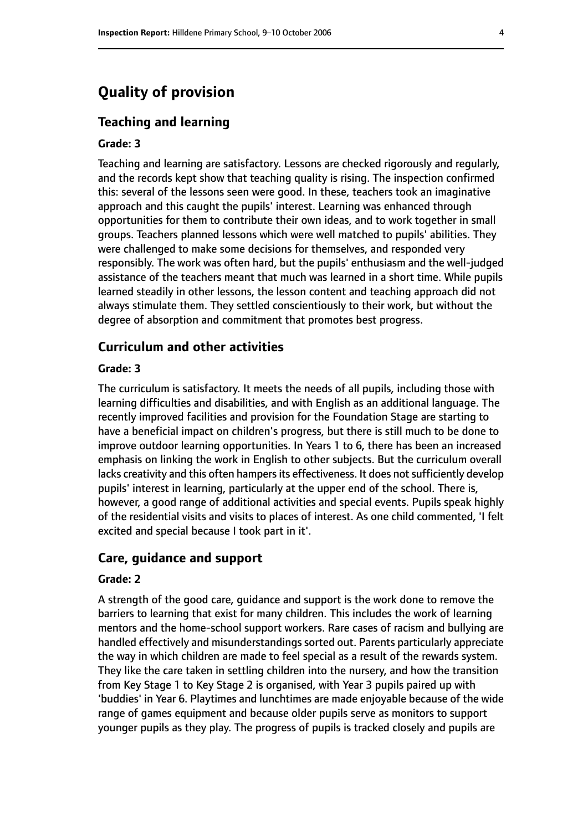# **Quality of provision**

#### **Teaching and learning**

#### **Grade: 3**

Teaching and learning are satisfactory. Lessons are checked rigorously and regularly, and the records kept show that teaching quality is rising. The inspection confirmed this: several of the lessons seen were good. In these, teachers took an imaginative approach and this caught the pupils' interest. Learning was enhanced through opportunities for them to contribute their own ideas, and to work together in small groups. Teachers planned lessons which were well matched to pupils' abilities. They were challenged to make some decisions for themselves, and responded very responsibly. The work was often hard, but the pupils' enthusiasm and the well-judged assistance of the teachers meant that much was learned in a short time. While pupils learned steadily in other lessons, the lesson content and teaching approach did not always stimulate them. They settled conscientiously to their work, but without the degree of absorption and commitment that promotes best progress.

#### **Curriculum and other activities**

#### **Grade: 3**

The curriculum is satisfactory. It meets the needs of all pupils, including those with learning difficulties and disabilities, and with English as an additional language. The recently improved facilities and provision for the Foundation Stage are starting to have a beneficial impact on children's progress, but there is still much to be done to improve outdoor learning opportunities. In Years 1 to 6, there has been an increased emphasis on linking the work in English to other subjects. But the curriculum overall lacks creativity and this often hampers its effectiveness. It does not sufficiently develop pupils' interest in learning, particularly at the upper end of the school. There is, however, a good range of additional activities and special events. Pupils speak highly of the residential visits and visits to places of interest. As one child commented, 'I felt excited and special because I took part in it'.

#### **Care, guidance and support**

#### **Grade: 2**

A strength of the good care, guidance and support is the work done to remove the barriers to learning that exist for many children. This includes the work of learning mentors and the home-school support workers. Rare cases of racism and bullying are handled effectively and misunderstandings sorted out. Parents particularly appreciate the way in which children are made to feel special as a result of the rewards system. They like the care taken in settling children into the nursery, and how the transition from Key Stage 1 to Key Stage 2 is organised, with Year 3 pupils paired up with 'buddies' in Year 6. Playtimes and lunchtimes are made enjoyable because of the wide range of games equipment and because older pupils serve as monitors to support younger pupils as they play. The progress of pupils is tracked closely and pupils are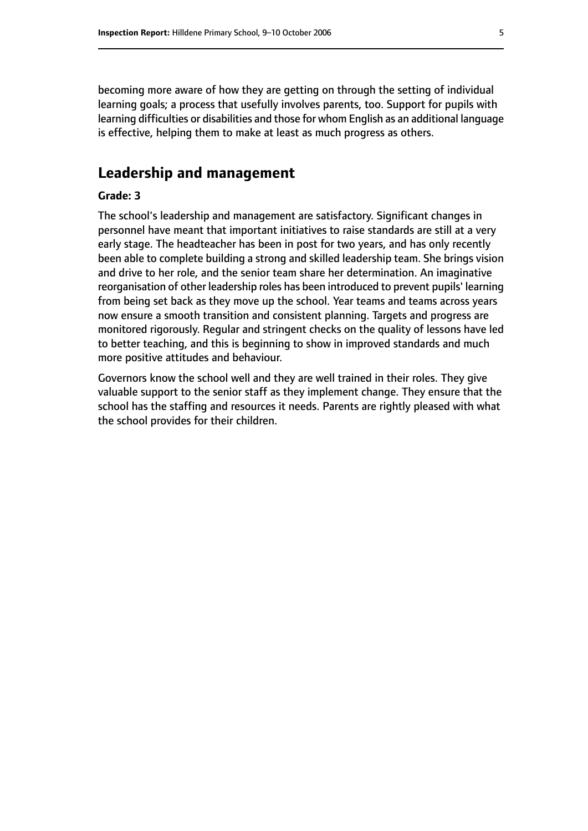becoming more aware of how they are getting on through the setting of individual learning goals; a process that usefully involves parents, too. Support for pupils with learning difficulties or disabilities and those for whom English as an additional language is effective, helping them to make at least as much progress as others.

# **Leadership and management**

#### **Grade: 3**

The school's leadership and management are satisfactory. Significant changes in personnel have meant that important initiatives to raise standards are still at a very early stage. The headteacher has been in post for two years, and has only recently been able to complete building a strong and skilled leadership team. She brings vision and drive to her role, and the senior team share her determination. An imaginative reorganisation of other leadership roles has been introduced to prevent pupils' learning from being set back as they move up the school. Year teams and teams across years now ensure a smooth transition and consistent planning. Targets and progress are monitored rigorously. Regular and stringent checks on the quality of lessons have led to better teaching, and this is beginning to show in improved standards and much more positive attitudes and behaviour.

Governors know the school well and they are well trained in their roles. They give valuable support to the senior staff as they implement change. They ensure that the school has the staffing and resources it needs. Parents are rightly pleased with what the school provides for their children.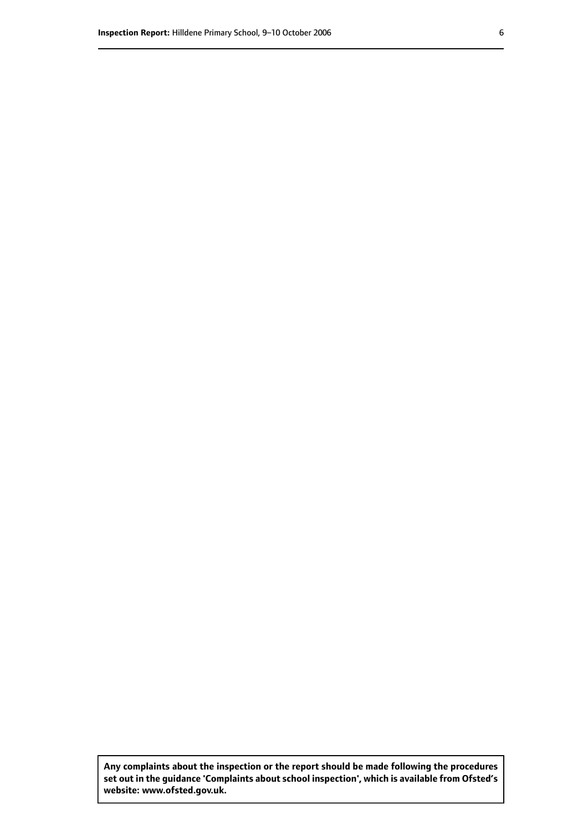**Any complaints about the inspection or the report should be made following the procedures set out inthe guidance 'Complaints about school inspection', whichis available from Ofsted's website: www.ofsted.gov.uk.**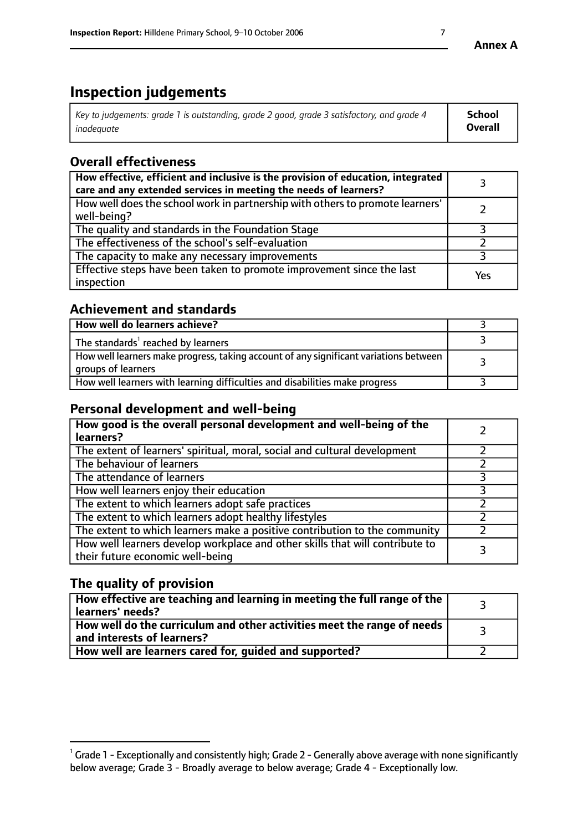# **Inspection judgements**

| $\vert$ Key to judgements: grade 1 is outstanding, grade 2 good, grade 3 satisfactory, and grade 4 | School         |
|----------------------------------------------------------------------------------------------------|----------------|
| inadeauate                                                                                         | <b>Overall</b> |

# **Overall effectiveness**

| How effective, efficient and inclusive is the provision of education, integrated<br>care and any extended services in meeting the needs of learners? |     |
|------------------------------------------------------------------------------------------------------------------------------------------------------|-----|
| How well does the school work in partnership with others to promote learners'<br>well-being?                                                         |     |
| The quality and standards in the Foundation Stage                                                                                                    |     |
| The effectiveness of the school's self-evaluation                                                                                                    |     |
| The capacity to make any necessary improvements                                                                                                      |     |
| Effective steps have been taken to promote improvement since the last<br>inspection                                                                  | Yes |

### **Achievement and standards**

| How well do learners achieve?                                                                               |  |
|-------------------------------------------------------------------------------------------------------------|--|
| The standards <sup>1</sup> reached by learners                                                              |  |
| How well learners make progress, taking account of any significant variations between<br>groups of learners |  |
| How well learners with learning difficulties and disabilities make progress                                 |  |

# **Personal development and well-being**

| How good is the overall personal development and well-being of the<br>learners?                                  |  |
|------------------------------------------------------------------------------------------------------------------|--|
| The extent of learners' spiritual, moral, social and cultural development                                        |  |
| The behaviour of learners                                                                                        |  |
| The attendance of learners                                                                                       |  |
| How well learners enjoy their education                                                                          |  |
| The extent to which learners adopt safe practices                                                                |  |
| The extent to which learners adopt healthy lifestyles                                                            |  |
| The extent to which learners make a positive contribution to the community                                       |  |
| How well learners develop workplace and other skills that will contribute to<br>their future economic well-being |  |

# **The quality of provision**

| $\Box$ How effective are teaching and learning in meeting the full range of the $\Box$<br>  learners' needs?        |  |
|---------------------------------------------------------------------------------------------------------------------|--|
| $\mid$ How well do the curriculum and other activities meet the range of needs<br>$\mid$ and interests of learners? |  |
| How well are learners cared for, guided and supported?                                                              |  |

 $^1$  Grade 1 - Exceptionally and consistently high; Grade 2 - Generally above average with none significantly below average; Grade 3 - Broadly average to below average; Grade 4 - Exceptionally low.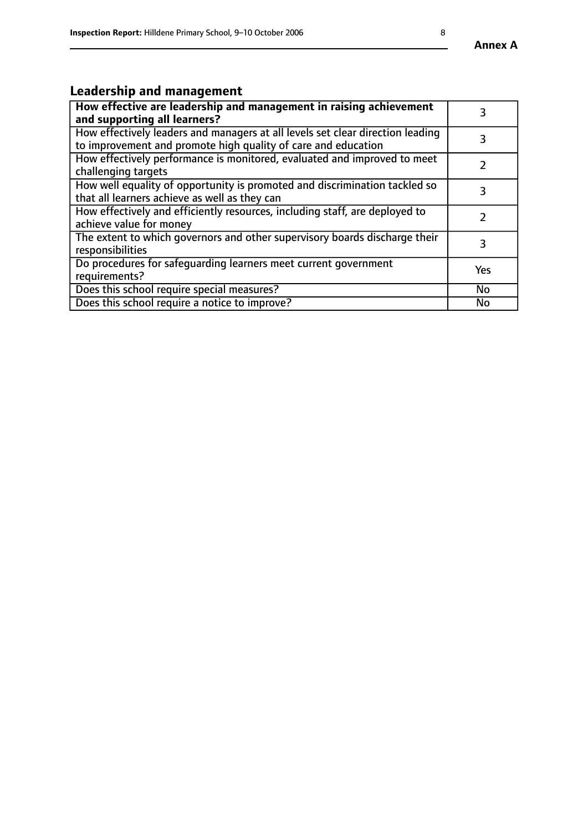#### **Annex A**

# **Leadership and management**

| How effective are leadership and management in raising achievement<br>and supporting all learners?                                              |               |
|-------------------------------------------------------------------------------------------------------------------------------------------------|---------------|
| How effectively leaders and managers at all levels set clear direction leading<br>to improvement and promote high quality of care and education |               |
| How effectively performance is monitored, evaluated and improved to meet<br>challenging targets                                                 |               |
| How well equality of opportunity is promoted and discrimination tackled so<br>that all learners achieve as well as they can                     |               |
| How effectively and efficiently resources, including staff, are deployed to<br>achieve value for money                                          | $\mathcal{P}$ |
| The extent to which governors and other supervisory boards discharge their<br>responsibilities                                                  | 3             |
| Do procedures for safequarding learners meet current government<br>requirements?                                                                | Yes           |
| Does this school require special measures?                                                                                                      | <b>No</b>     |
| Does this school require a notice to improve?                                                                                                   | No            |